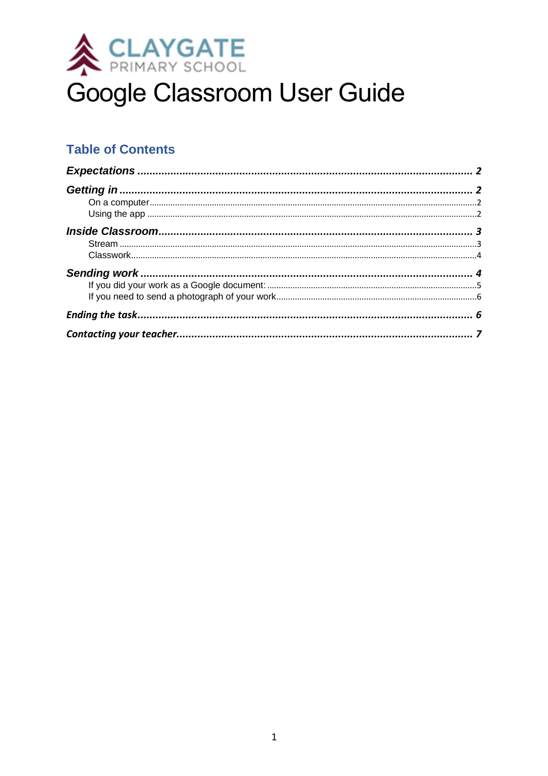

**A CLAYGATE**<br>Google Classroom User Guide

# **Table of Contents**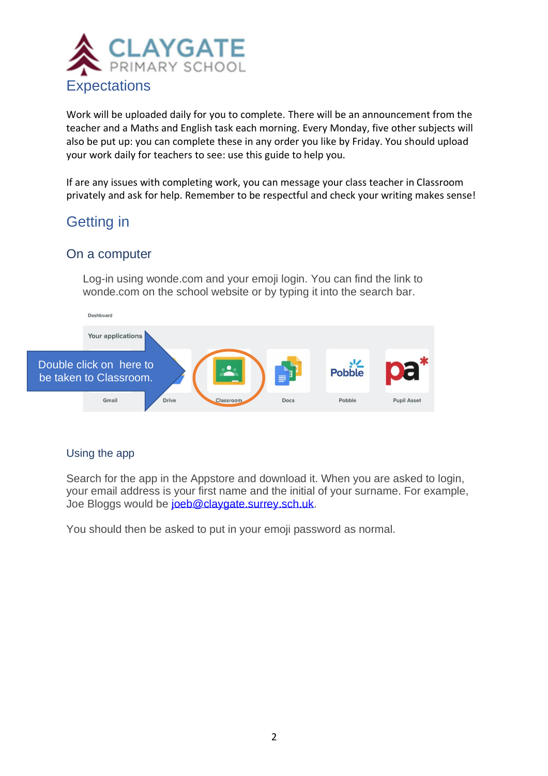

<span id="page-1-0"></span>Work will be uploaded daily for you to complete. There will be an announcement from the teacher and a Maths and English task each morning. Every Monday, five other subjects will also be put up: you can complete these in any order you like by Friday. You should upload your work daily for teachers to see: use this guide to help you.

If are any issues with completing work, you can message your class teacher in Classroom privately and ask for help. Remember to be respectful and check your writing makes sense!

# <span id="page-1-1"></span>Getting in

## <span id="page-1-2"></span>On a computer

Log-in using wonde.com and your emoji login. You can find the link to wonde.com on the school website or by typing it into the search bar.



### <span id="page-1-3"></span>Using the app

Search for the app in the Appstore and download it. When you are asked to login, your email address is your first name and the initial of your surname. For example, Joe Bloggs would be [joeb@claygate.surrey.sch.uk.](mailto:joeb@claygate.surrey.sch.uk)

You should then be asked to put in your emoji password as normal.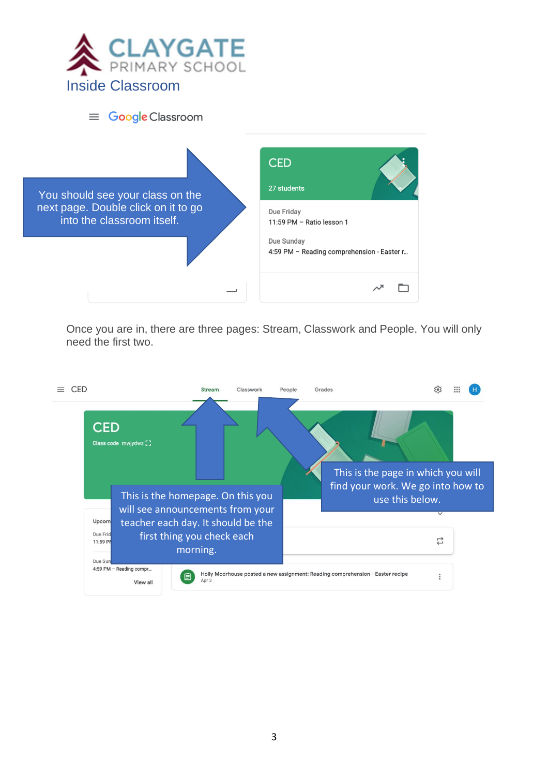<span id="page-2-0"></span>



Once you are in, there are three pages: Stream, Classwork and People. You will only need the first two.

<span id="page-2-1"></span>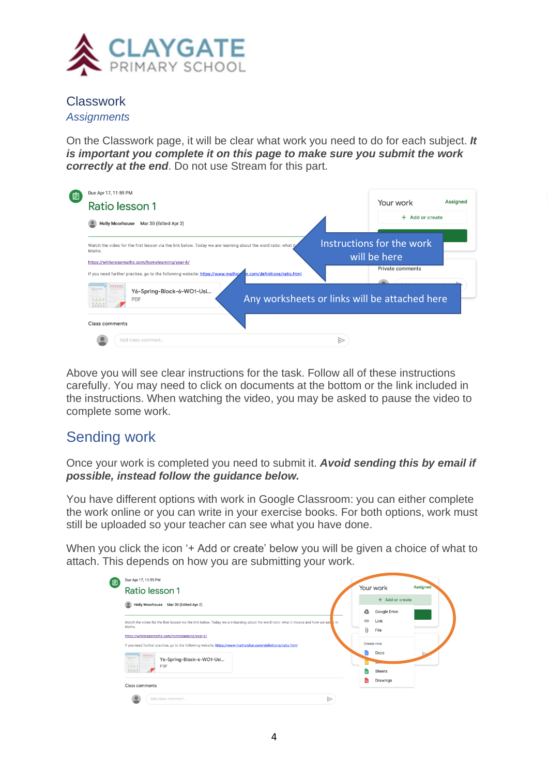

## <span id="page-3-0"></span>**Classwork**

#### *Assignments*

On the Classwork page, it will be clear what work you need to do for each subject. *It is important you complete it on this page to make sure you submit the work correctly at the end*. Do not use Stream for this part.

| Due Apr 17, 11:59 PM<br>Ratio lesson 1                                                                                                                                | <b>Assigned</b><br>Your work                  |
|-----------------------------------------------------------------------------------------------------------------------------------------------------------------------|-----------------------------------------------|
| Holly Moorhouse Mar 30 (Edited Apr 2)                                                                                                                                 | + Add or create                               |
| Watch the video for the first lesson via the link below. Today we are learning about the word ratio: what it<br>Maths.                                                | Instructions for the work<br>will be here     |
| https://whiterosemaths.com/homelearning/year-6/<br>If you need further practise, go to the following website: https://www.mathsiz<br>n.com/definitions/ratio.html<br> | Private comments                              |
| .<br>Y6-Spring-Block-6-WO1-Usi<br>PDF                                                                                                                                 | Any worksheets or links will be attached here |
| <b>Class comments</b>                                                                                                                                                 |                                               |
| Add class comment                                                                                                                                                     | Þ                                             |

Above you will see clear instructions for the task. Follow all of these instructions carefully. You may need to click on documents at the bottom or the link included in the instructions. When watching the video, you may be asked to pause the video to complete some work.

# <span id="page-3-1"></span>Sending work

Once your work is completed you need to submit it. *Avoid sending this by email if possible, instead follow the guidance below.*

You have different options with work in Google Classroom: you can either complete the work online or you can write in your exercise books. For both options, work must still be uploaded so your teacher can see what you have done.

When you click the icon '+ Add or create' below you will be given a choice of what to attach. This depends on how you are submitting your work.

| 〔自〕 | Due Apr 17, 11:59 PM                                                                                                                                            |          | Your work       | <b>Assigned</b> |
|-----|-----------------------------------------------------------------------------------------------------------------------------------------------------------------|----------|-----------------|-----------------|
|     | Ratio lesson 1                                                                                                                                                  |          |                 |                 |
|     | Holly Moorhouse Mar 30 (Edited Apr 2)                                                                                                                           |          | + Add or create |                 |
|     |                                                                                                                                                                 | ୵        | Google Drive    |                 |
|     | Watch the video for the first lesson via the link below. Today we are learning about the word ratio: what it means and how we use t in                          | $\oplus$ | Link            |                 |
|     | Maths.                                                                                                                                                          | 0        | File            |                 |
|     | https://whiterosemaths.com/homelearning/year-6/<br>If you need further practise, go to the following website: https://www.mathsisfun.com/definitions/ratio.html |          | Create new      |                 |
|     | <br>"Siliyeee<br>Y6-Spring-Block-6-WO1-Usi<br>2000 1000<br>PDF                                                                                                  |          | Docs            |                 |
|     | 5.5.5.5                                                                                                                                                         |          | Sheets          |                 |
|     | <b>Class comments</b>                                                                                                                                           |          | Drawings        |                 |
|     | Add class comment<br>$\Rightarrow$                                                                                                                              |          |                 |                 |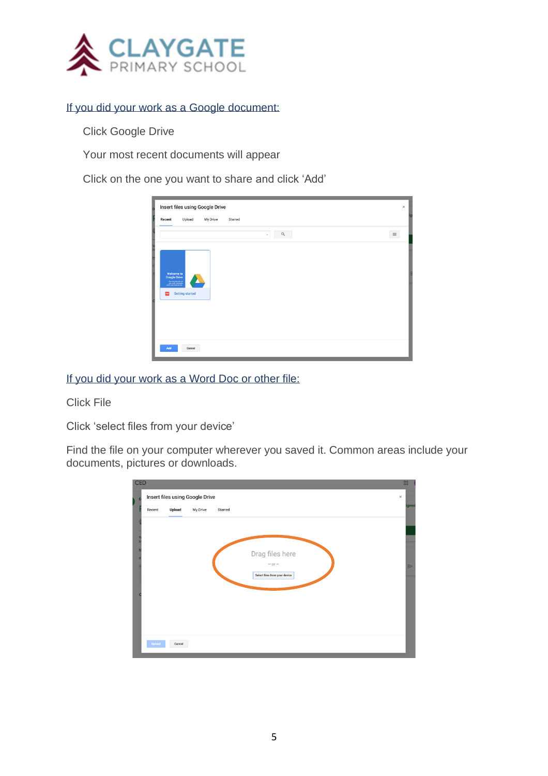

### <span id="page-4-0"></span>If you did your work as a Google document:

Click Google Drive

Your most recent documents will appear

Click on the one you want to share and click 'Add'



If you did your work as a Word Doc or other file:

Click File

Click 'select files from your device'

Find the file on your computer wherever you saved it. Common areas include your documents, pictures or downloads.

| <b>CED</b> |               |        |                                 |         |                                             | $\mathbf{m}$     |
|------------|---------------|--------|---------------------------------|---------|---------------------------------------------|------------------|
| D          |               |        | Insert files using Google Drive |         | $\times$                                    |                  |
|            | Recent        | Upload | My Drive                        | Starred |                                             | ignec            |
|            |               |        |                                 |         |                                             |                  |
|            |               |        |                                 |         |                                             |                  |
|            |               |        |                                 |         | Drag files here                             |                  |
|            |               |        |                                 |         | $-$ or $-$<br>Select files from your device | $\triangleright$ |
|            |               |        |                                 |         |                                             |                  |
|            |               |        |                                 |         |                                             |                  |
|            |               |        |                                 |         |                                             |                  |
|            |               |        |                                 |         |                                             |                  |
|            | <b>Upload</b> | Cancel |                                 |         |                                             |                  |
|            |               |        |                                 |         |                                             |                  |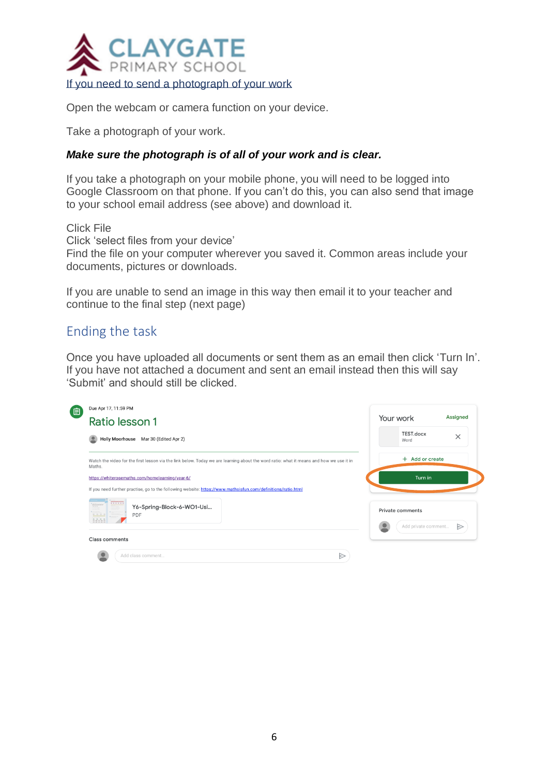

<span id="page-5-0"></span>Open the webcam or camera function on your device.

Take a photograph of your work.

### *Make sure the photograph is of all of your work and is clear.*

If you take a photograph on your mobile phone, you will need to be logged into Google Classroom on that phone. If you can't do this, you can also send that image to your school email address (see above) and download it.

Click File Click 'select files from your device' Find the file on your computer wherever you saved it. Common areas include your documents, pictures or downloads.

If you are unable to send an image in this way then email it to your teacher and continue to the final step (next page)

## <span id="page-5-1"></span>Ending the task

Once you have uploaded all documents or sent them as an email then click 'Turn In'. If you have not attached a document and sent an email instead then this will say 'Submit' and should still be clicked.

| Due Apr 17, 11:59 PM                                                                                                                              |                          |                 |  |
|---------------------------------------------------------------------------------------------------------------------------------------------------|--------------------------|-----------------|--|
| Ratio lesson 1                                                                                                                                    | Your work                | <b>Assigned</b> |  |
| <b>Holly Moorhouse</b><br>Mar 30 (Edited Apr 2)                                                                                                   | <b>TEST.docx</b><br>Word | $\times$        |  |
| Watch the video for the first lesson via the link below. Today we are learning about the word ratio: what it means and how we use it in<br>Maths. | + Add or create          |                 |  |
| https://whiterosemaths.com/homelearning/year-6/                                                                                                   | Turn in                  |                 |  |
| If you need further practise, go to the following website: https://www.mathsisfun.com/definitions/ratio.html                                      |                          |                 |  |
| <br><b>SSSNA</b><br>Y6-Spring-Block-6-WO1-Usi<br>2.9.9.9<br>PDF<br>5.5.5.5                                                                        | <b>Private comments</b>  |                 |  |
| <b>Class comments</b>                                                                                                                             | Add private comment      | Ð               |  |
| Add class comment<br>E                                                                                                                            |                          |                 |  |